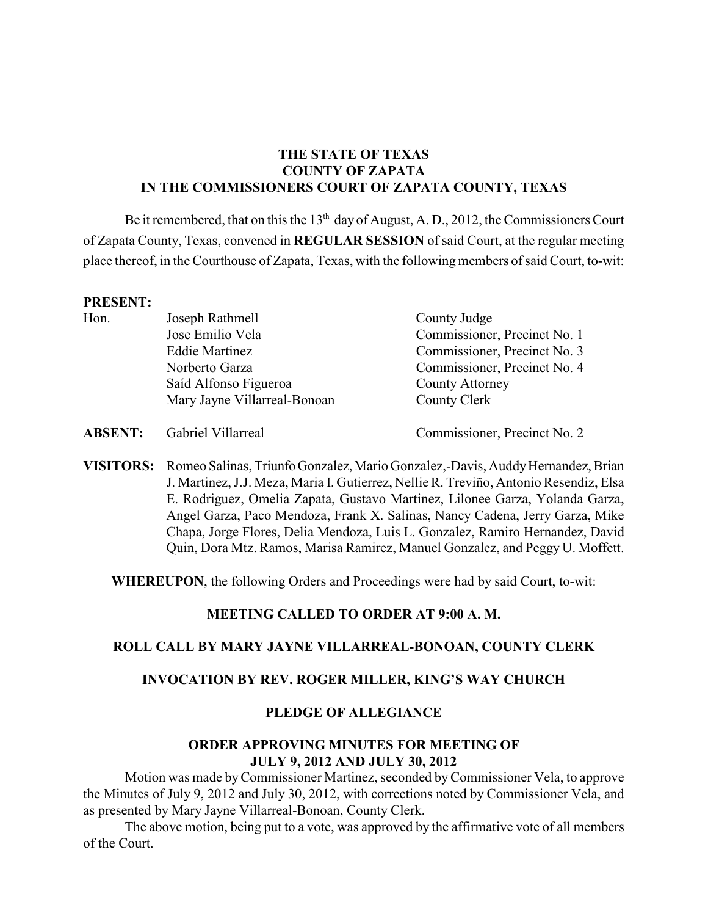# **THE STATE OF TEXAS COUNTY OF ZAPATA IN THE COMMISSIONERS COURT OF ZAPATA COUNTY, TEXAS**

Be it remembered, that on this the  $13<sup>th</sup>$  day of August, A. D., 2012, the Commissioners Court of Zapata County, Texas, convened in **REGULAR SESSION** of said Court, at the regular meeting place thereof, in the Courthouse of Zapata, Texas, with the following members of said Court, to-wit:

#### **PRESENT:**

| Hon. | Joseph Rathmell              | County Judge                 |
|------|------------------------------|------------------------------|
|      | Jose Emilio Vela             | Commissioner, Precinct No. 1 |
|      | <b>Eddie Martinez</b>        | Commissioner, Precinct No. 3 |
|      | Norberto Garza               | Commissioner, Precinct No. 4 |
|      | Saíd Alfonso Figueroa        | <b>County Attorney</b>       |
|      | Mary Jayne Villarreal-Bonoan | County Clerk                 |
|      |                              |                              |

**ABSENT:** Gabriel Villarreal Commissioner, Precinct No. 2

**VISITORS:** Romeo Salinas, Triunfo Gonzalez, Mario Gonzalez,-Davis, Auddy Hernandez, Brian J. Martinez, J.J. Meza, Maria I. Gutierrez, Nellie R. Treviño, Antonio Resendiz, Elsa E. Rodriguez, Omelia Zapata, Gustavo Martinez, Lilonee Garza, Yolanda Garza, Angel Garza, Paco Mendoza, Frank X. Salinas, Nancy Cadena, Jerry Garza, Mike Chapa, Jorge Flores, Delia Mendoza, Luis L. Gonzalez, Ramiro Hernandez, David Quin, Dora Mtz. Ramos, Marisa Ramirez, Manuel Gonzalez, and Peggy U. Moffett.

**WHEREUPON**, the following Orders and Proceedings were had by said Court, to-wit:

#### **MEETING CALLED TO ORDER AT 9:00 A. M.**

#### **ROLL CALL BY MARY JAYNE VILLARREAL-BONOAN, COUNTY CLERK**

#### **INVOCATION BY REV. ROGER MILLER, KING'S WAY CHURCH**

## **PLEDGE OF ALLEGIANCE**

## **ORDER APPROVING MINUTES FOR MEETING OF JULY 9, 2012 AND JULY 30, 2012**

Motion was made by Commissioner Martinez, seconded byCommissioner Vela, to approve the Minutes of July 9, 2012 and July 30, 2012, with corrections noted by Commissioner Vela, and as presented by Mary Jayne Villarreal-Bonoan, County Clerk.

The above motion, being put to a vote, was approved by the affirmative vote of all members of the Court.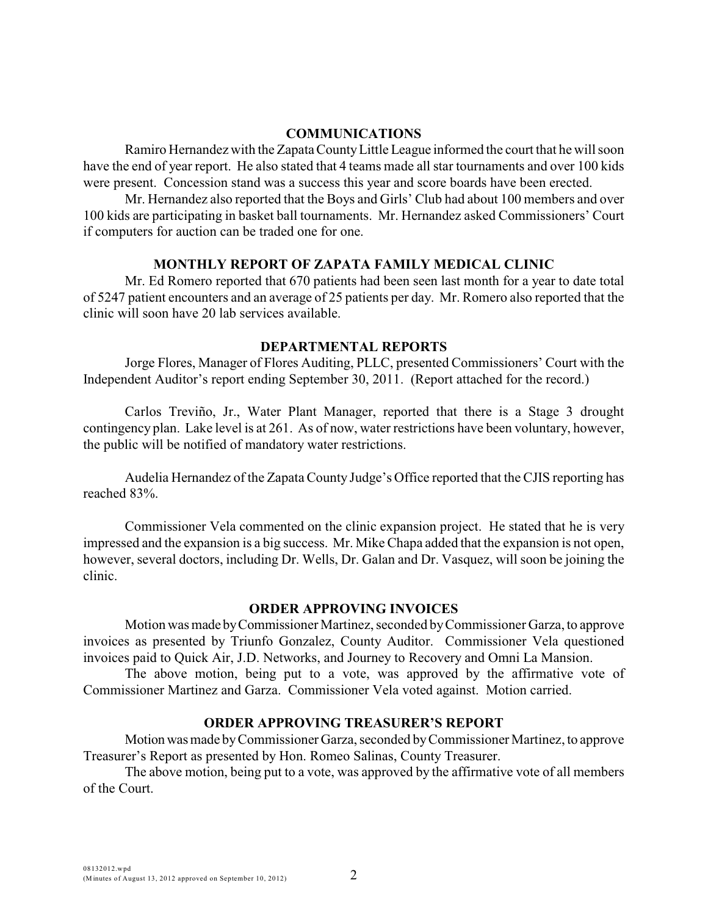#### **COMMUNICATIONS**

Ramiro Hernandez with the Zapata County Little League informed the court that he will soon have the end of year report. He also stated that 4 teams made all star tournaments and over 100 kids were present. Concession stand was a success this year and score boards have been erected.

Mr. Hernandez also reported that the Boys and Girls' Club had about 100 members and over 100 kids are participating in basket ball tournaments. Mr. Hernandez asked Commissioners' Court if computers for auction can be traded one for one.

#### **MONTHLY REPORT OF ZAPATA FAMILY MEDICAL CLINIC**

Mr. Ed Romero reported that 670 patients had been seen last month for a year to date total of 5247 patient encounters and an average of 25 patients per day. Mr. Romero also reported that the clinic will soon have 20 lab services available.

## **DEPARTMENTAL REPORTS**

Jorge Flores, Manager of Flores Auditing, PLLC, presented Commissioners' Court with the Independent Auditor's report ending September 30, 2011. (Report attached for the record.)

Carlos Treviño, Jr., Water Plant Manager, reported that there is a Stage 3 drought contingency plan. Lake level is at 261. As of now, water restrictions have been voluntary, however, the public will be notified of mandatory water restrictions.

Audelia Hernandez of the Zapata County Judge's Office reported that the CJIS reporting has reached 83%.

Commissioner Vela commented on the clinic expansion project. He stated that he is very impressed and the expansion is a big success. Mr. Mike Chapa added that the expansion is not open, however, several doctors, including Dr. Wells, Dr. Galan and Dr. Vasquez, will soon be joining the clinic.

#### **ORDER APPROVING INVOICES**

Motion was made by Commissioner Martinez, seconded by Commissioner Garza, to approve invoices as presented by Triunfo Gonzalez, County Auditor. Commissioner Vela questioned invoices paid to Quick Air, J.D. Networks, and Journey to Recovery and Omni La Mansion.

The above motion, being put to a vote, was approved by the affirmative vote of Commissioner Martinez and Garza. Commissioner Vela voted against. Motion carried.

#### **ORDER APPROVING TREASURER'S REPORT**

Motion was made by Commissioner Garza, seconded by Commissioner Martinez, to approve Treasurer's Report as presented by Hon. Romeo Salinas, County Treasurer.

The above motion, being put to a vote, was approved by the affirmative vote of all members of the Court.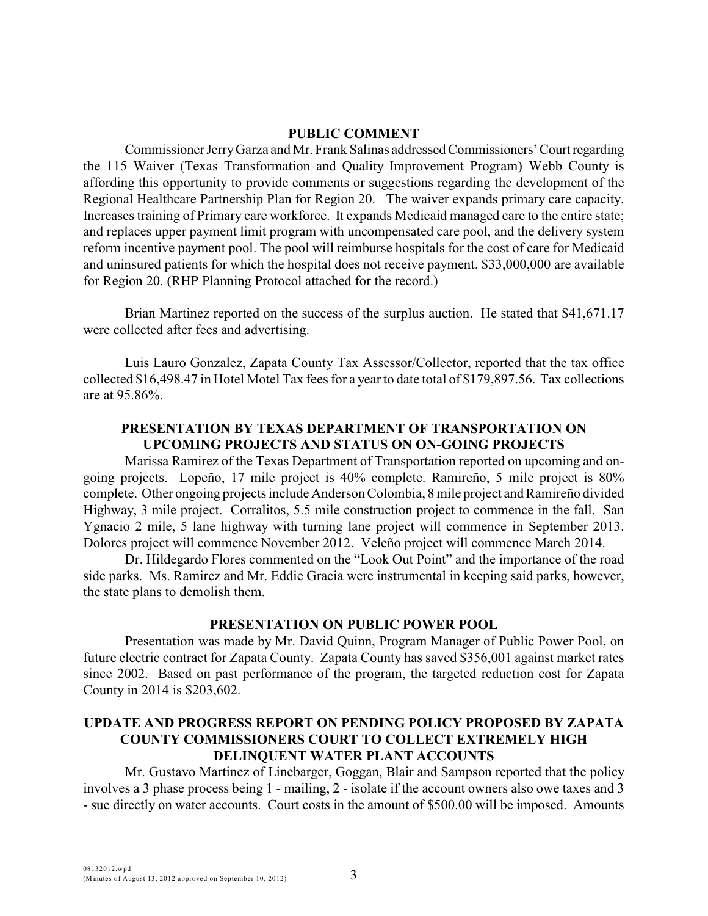## **PUBLIC COMMENT**

Commissioner Jerry Garza and Mr. Frank Salinas addressed Commissioners' Court regarding the 115 Waiver (Texas Transformation and Quality Improvement Program) Webb County is affording this opportunity to provide comments or suggestions regarding the development of the Regional Healthcare Partnership Plan for Region 20. The waiver expands primary care capacity. Increases training of Primary care workforce. It expands Medicaid managed care to the entire state; and replaces upper payment limit program with uncompensated care pool, and the delivery system reform incentive payment pool. The pool will reimburse hospitals for the cost of care for Medicaid and uninsured patients for which the hospital does not receive payment. \$33,000,000 are available for Region 20. (RHP Planning Protocol attached for the record.)

Brian Martinez reported on the success of the surplus auction. He stated that \$41,671.17 were collected after fees and advertising.

Luis Lauro Gonzalez, Zapata County Tax Assessor/Collector, reported that the tax office collected \$16,498.47 in Hotel Motel Tax fees for a year to date total of \$179,897.56. Tax collections are at 95.86%.

## **PRESENTATION BY TEXAS DEPARTMENT OF TRANSPORTATION ON UPCOMING PROJECTS AND STATUS ON ON-GOING PROJECTS**

Marissa Ramirez of the Texas Department of Transportation reported on upcoming and ongoing projects. Lopeño, 17 mile project is 40% complete. Ramireño, 5 mile project is 80% complete. Other ongoing projects include Anderson Colombia, 8 mile project and Ramireño divided Highway, 3 mile project. Corralitos, 5.5 mile construction project to commence in the fall. San Ygnacio 2 mile, 5 lane highway with turning lane project will commence in September 2013. Dolores project will commence November 2012. Veleño project will commence March 2014.

Dr. Hildegardo Flores commented on the "Look Out Point" and the importance of the road side parks. Ms. Ramirez and Mr. Eddie Gracia were instrumental in keeping said parks, however, the state plans to demolish them.

#### **PRESENTATION ON PUBLIC POWER POOL**

Presentation was made by Mr. David Quinn, Program Manager of Public Power Pool, on future electric contract for Zapata County. Zapata County has saved \$356,001 against market rates since 2002. Based on past performance of the program, the targeted reduction cost for Zapata County in 2014 is \$203,602.

# **UPDATE AND PROGRESS REPORT ON PENDING POLICY PROPOSED BY ZAPATA COUNTY COMMISSIONERS COURT TO COLLECT EXTREMELY HIGH DELINQUENT WATER PLANT ACCOUNTS**

Mr. Gustavo Martinez of Linebarger, Goggan, Blair and Sampson reported that the policy involves a 3 phase process being 1 - mailing, 2 - isolate if the account owners also owe taxes and 3 - sue directly on water accounts. Court costs in the amount of \$500.00 will be imposed. Amounts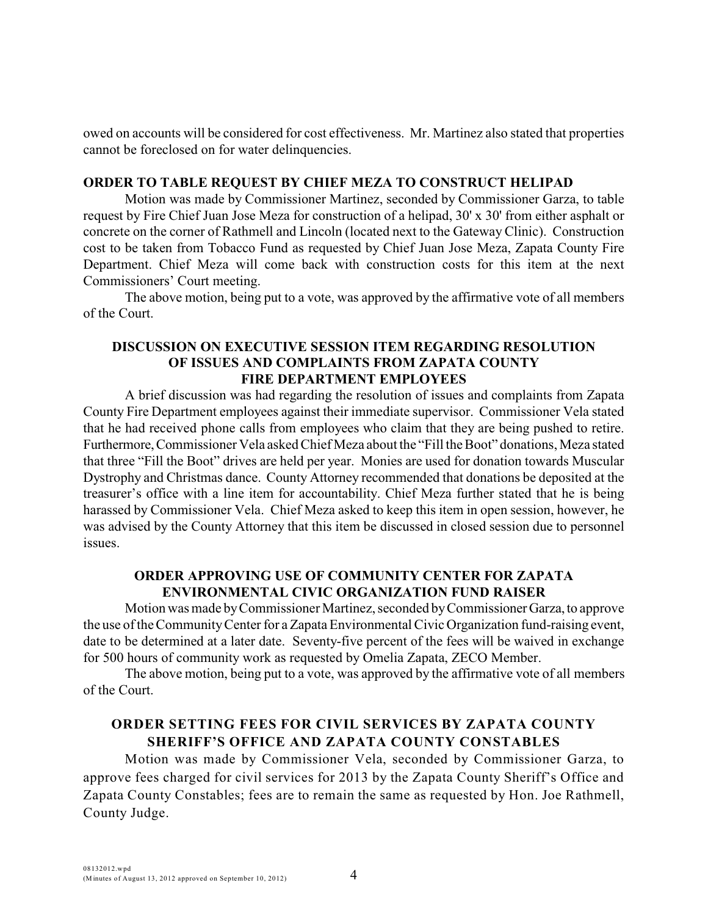owed on accounts will be considered for cost effectiveness. Mr. Martinez also stated that properties cannot be foreclosed on for water delinquencies.

## **ORDER TO TABLE REQUEST BY CHIEF MEZA TO CONSTRUCT HELIPAD**

Motion was made by Commissioner Martinez, seconded by Commissioner Garza, to table request by Fire Chief Juan Jose Meza for construction of a helipad, 30' x 30' from either asphalt or concrete on the corner of Rathmell and Lincoln (located next to the Gateway Clinic). Construction cost to be taken from Tobacco Fund as requested by Chief Juan Jose Meza, Zapata County Fire Department. Chief Meza will come back with construction costs for this item at the next Commissioners' Court meeting.

The above motion, being put to a vote, was approved by the affirmative vote of all members of the Court.

## **DISCUSSION ON EXECUTIVE SESSION ITEM REGARDING RESOLUTION OF ISSUES AND COMPLAINTS FROM ZAPATA COUNTY FIRE DEPARTMENT EMPLOYEES**

A brief discussion was had regarding the resolution of issues and complaints from Zapata County Fire Department employees against their immediate supervisor. Commissioner Vela stated that he had received phone calls from employees who claim that they are being pushed to retire. Furthermore, Commissioner Vela asked Chief Meza about the "Fill the Boot" donations, Meza stated that three "Fill the Boot" drives are held per year. Monies are used for donation towards Muscular Dystrophy and Christmas dance. County Attorney recommended that donations be deposited at the treasurer's office with a line item for accountability. Chief Meza further stated that he is being harassed by Commissioner Vela. Chief Meza asked to keep this item in open session, however, he was advised by the County Attorney that this item be discussed in closed session due to personnel issues.

## **ORDER APPROVING USE OF COMMUNITY CENTER FOR ZAPATA ENVIRONMENTAL CIVIC ORGANIZATION FUND RAISER**

Motion was made by Commissioner Martinez, seconded by Commissioner Garza, to approve the use of the Community Center for a Zapata Environmental Civic Organization fund-raising event, date to be determined at a later date. Seventy-five percent of the fees will be waived in exchange for 500 hours of community work as requested by Omelia Zapata, ZECO Member.

The above motion, being put to a vote, was approved by the affirmative vote of all members of the Court.

# **ORDER SETTING FEES FOR CIVIL SERVICES BY ZAPATA COUNTY SHERIFF'S OFFICE AND ZAPATA COUNTY CONSTABLES**

Motion was made by Commissioner Vela, seconded by Commissioner Garza, to approve fees charged for civil services for 2013 by the Zapata County Sheriff's Office and Zapata County Constables; fees are to remain the same as requested by Hon. Joe Rathmell, County Judge.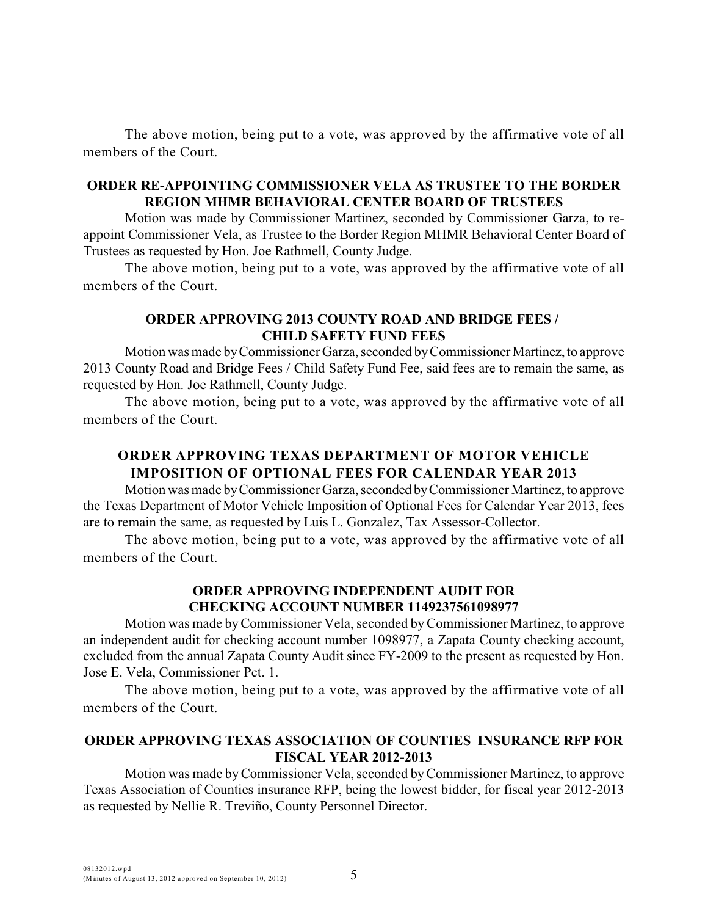The above motion, being put to a vote, was approved by the affirmative vote of all members of the Court.

# **ORDER RE-APPOINTING COMMISSIONER VELA AS TRUSTEE TO THE BORDER REGION MHMR BEHAVIORAL CENTER BOARD OF TRUSTEES**

Motion was made by Commissioner Martinez, seconded by Commissioner Garza, to reappoint Commissioner Vela, as Trustee to the Border Region MHMR Behavioral Center Board of Trustees as requested by Hon. Joe Rathmell, County Judge.

The above motion, being put to a vote, was approved by the affirmative vote of all members of the Court.

## **ORDER APPROVING 2013 COUNTY ROAD AND BRIDGE FEES / CHILD SAFETY FUND FEES**

Motion was made by Commissioner Garza, seconded by Commissioner Martinez, to approve 2013 County Road and Bridge Fees / Child Safety Fund Fee, said fees are to remain the same, as requested by Hon. Joe Rathmell, County Judge.

The above motion, being put to a vote, was approved by the affirmative vote of all members of the Court.

# **ORDER APPROVING TEXAS DEPARTMENT OF MOTOR VEHICLE IMPOSITION OF OPTIONAL FEES FOR CALENDAR YEAR 2013**

Motion was made by Commissioner Garza, seconded by Commissioner Martinez, to approve the Texas Department of Motor Vehicle Imposition of Optional Fees for Calendar Year 2013, fees are to remain the same, as requested by Luis L. Gonzalez, Tax Assessor-Collector.

The above motion, being put to a vote, was approved by the affirmative vote of all members of the Court.

# **ORDER APPROVING INDEPENDENT AUDIT FOR CHECKING ACCOUNT NUMBER 1149237561098977**

Motion was made by Commissioner Vela, seconded byCommissioner Martinez, to approve an independent audit for checking account number 1098977, a Zapata County checking account, excluded from the annual Zapata County Audit since FY-2009 to the present as requested by Hon. Jose E. Vela, Commissioner Pct. 1.

The above motion, being put to a vote, was approved by the affirmative vote of all members of the Court.

# **ORDER APPROVING TEXAS ASSOCIATION OF COUNTIES INSURANCE RFP FOR FISCAL YEAR 2012-2013**

Motion was made byCommissioner Vela, seconded byCommissioner Martinez, to approve Texas Association of Counties insurance RFP, being the lowest bidder, for fiscal year 2012-2013 as requested by Nellie R. Treviño, County Personnel Director.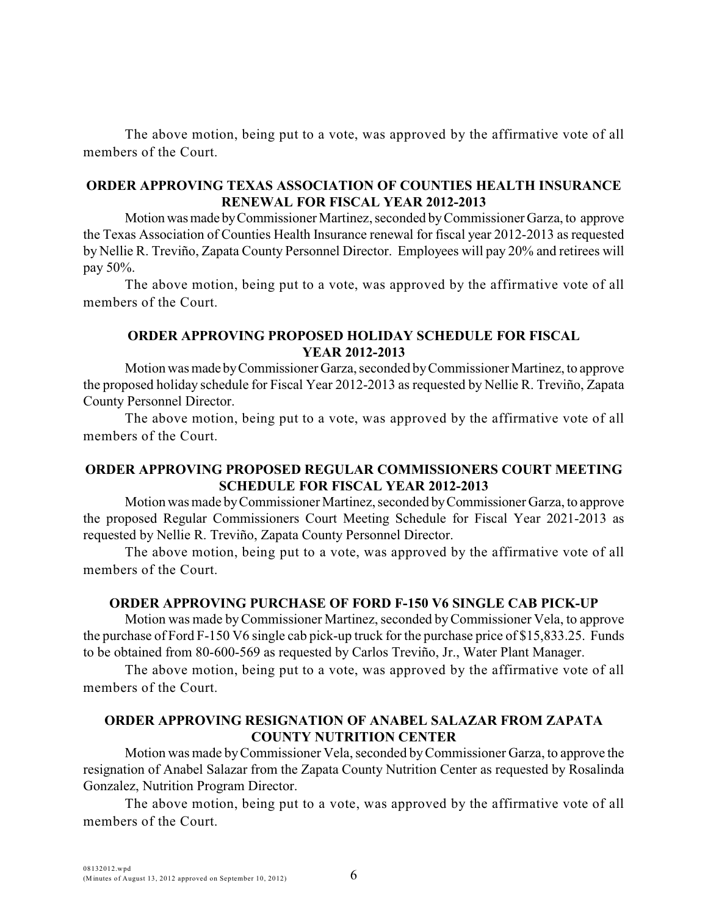The above motion, being put to a vote, was approved by the affirmative vote of all members of the Court.

## **ORDER APPROVING TEXAS ASSOCIATION OF COUNTIES HEALTH INSURANCE RENEWAL FOR FISCAL YEAR 2012-2013**

Motion was made by Commissioner Martinez, seconded by Commissioner Garza, to approve the Texas Association of Counties Health Insurance renewal for fiscal year 2012-2013 as requested by Nellie R. Treviño, Zapata County Personnel Director. Employees will pay 20% and retirees will pay 50%.

The above motion, being put to a vote, was approved by the affirmative vote of all members of the Court.

## **ORDER APPROVING PROPOSED HOLIDAY SCHEDULE FOR FISCAL YEAR 2012-2013**

Motion was made by Commissioner Garza, seconded by Commissioner Martinez, to approve the proposed holiday schedule for Fiscal Year 2012-2013 as requested by Nellie R. Treviño, Zapata County Personnel Director.

The above motion, being put to a vote, was approved by the affirmative vote of all members of the Court.

## **ORDER APPROVING PROPOSED REGULAR COMMISSIONERS COURT MEETING SCHEDULE FOR FISCAL YEAR 2012-2013**

Motion was made by Commissioner Martinez, seconded by Commissioner Garza, to approve the proposed Regular Commissioners Court Meeting Schedule for Fiscal Year 2021-2013 as requested by Nellie R. Treviño, Zapata County Personnel Director.

The above motion, being put to a vote, was approved by the affirmative vote of all members of the Court.

#### **ORDER APPROVING PURCHASE OF FORD F-150 V6 SINGLE CAB PICK-UP**

Motion was made byCommissioner Martinez, seconded byCommissioner Vela, to approve the purchase of Ford F-150 V6 single cab pick-up truck for the purchase price of \$15,833.25. Funds to be obtained from 80-600-569 as requested by Carlos Treviño, Jr., Water Plant Manager.

The above motion, being put to a vote, was approved by the affirmative vote of all members of the Court.

# **ORDER APPROVING RESIGNATION OF ANABEL SALAZAR FROM ZAPATA COUNTY NUTRITION CENTER**

Motion was made by Commissioner Vela, seconded by Commissioner Garza, to approve the resignation of Anabel Salazar from the Zapata County Nutrition Center as requested by Rosalinda Gonzalez, Nutrition Program Director.

The above motion, being put to a vote, was approved by the affirmative vote of all members of the Court.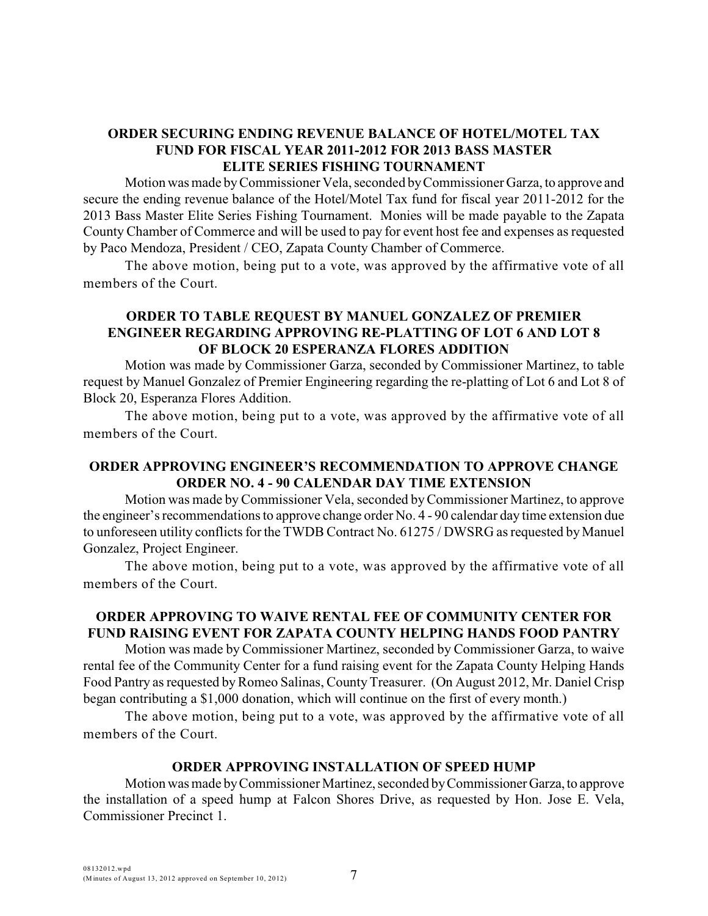# **ORDER SECURING ENDING REVENUE BALANCE OF HOTEL/MOTEL TAX FUND FOR FISCAL YEAR 2011-2012 FOR 2013 BASS MASTER ELITE SERIES FISHING TOURNAMENT**

Motion was made byCommissioner Vela, seconded by Commissioner Garza, to approve and secure the ending revenue balance of the Hotel/Motel Tax fund for fiscal year 2011-2012 for the 2013 Bass Master Elite Series Fishing Tournament. Monies will be made payable to the Zapata County Chamber of Commerce and will be used to pay for event host fee and expenses as requested by Paco Mendoza, President / CEO, Zapata County Chamber of Commerce.

The above motion, being put to a vote, was approved by the affirmative vote of all members of the Court.

# **ORDER TO TABLE REQUEST BY MANUEL GONZALEZ OF PREMIER ENGINEER REGARDING APPROVING RE-PLATTING OF LOT 6 AND LOT 8 OF BLOCK 20 ESPERANZA FLORES ADDITION**

Motion was made by Commissioner Garza, seconded by Commissioner Martinez, to table request by Manuel Gonzalez of Premier Engineering regarding the re-platting of Lot 6 and Lot 8 of Block 20, Esperanza Flores Addition.

The above motion, being put to a vote, was approved by the affirmative vote of all members of the Court.

# **ORDER APPROVING ENGINEER'S RECOMMENDATION TO APPROVE CHANGE ORDER NO. 4 - 90 CALENDAR DAY TIME EXTENSION**

Motion was made byCommissioner Vela, seconded by Commissioner Martinez, to approve the engineer's recommendations to approve change order No. 4 - 90 calendar day time extension due to unforeseen utility conflicts for the TWDB Contract No. 61275 / DWSRG as requested by Manuel Gonzalez, Project Engineer.

The above motion, being put to a vote, was approved by the affirmative vote of all members of the Court.

# **ORDER APPROVING TO WAIVE RENTAL FEE OF COMMUNITY CENTER FOR FUND RAISING EVENT FOR ZAPATA COUNTY HELPING HANDS FOOD PANTRY**

Motion was made by Commissioner Martinez, seconded by Commissioner Garza, to waive rental fee of the Community Center for a fund raising event for the Zapata County Helping Hands Food Pantry as requested by Romeo Salinas, CountyTreasurer. (On August 2012, Mr. Daniel Crisp began contributing a \$1,000 donation, which will continue on the first of every month.)

The above motion, being put to a vote, was approved by the affirmative vote of all members of the Court.

# **ORDER APPROVING INSTALLATION OF SPEED HUMP**

Motion was made by Commissioner Martinez, seconded by Commissioner Garza, to approve the installation of a speed hump at Falcon Shores Drive, as requested by Hon. Jose E. Vela, Commissioner Precinct 1.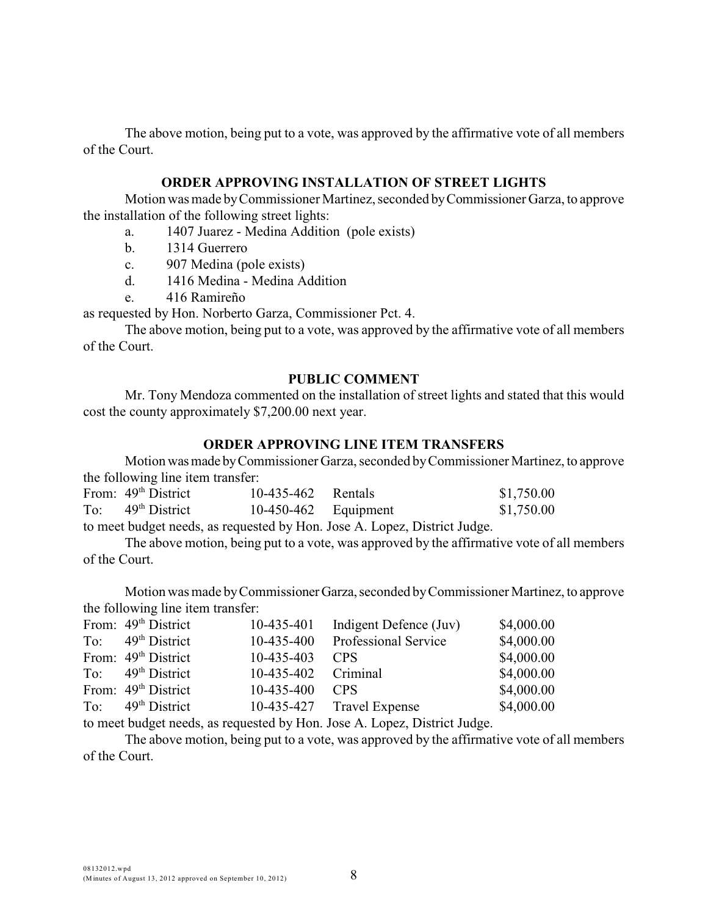The above motion, being put to a vote, was approved by the affirmative vote of all members of the Court.

#### **ORDER APPROVING INSTALLATION OF STREET LIGHTS**

Motion was made by Commissioner Martinez, seconded by Commissioner Garza, to approve the installation of the following street lights:

- a. 1407 Juarez Medina Addition (pole exists)
- b. 1314 Guerrero
- c. 907 Medina (pole exists)
- d. 1416 Medina Medina Addition
- e. 416 Ramireño

as requested by Hon. Norberto Garza, Commissioner Pct. 4.

The above motion, being put to a vote, was approved by the affirmative vote of all members of the Court.

#### **PUBLIC COMMENT**

Mr. Tony Mendoza commented on the installation of street lights and stated that this would cost the county approximately \$7,200.00 next year.

#### **ORDER APPROVING LINE ITEM TRANSFERS**

Motion was made by Commissioner Garza, seconded by Commissioner Martinez, to approve the following line item transfer:

| From: $49th District$ | 10-435-462 Rentals     |                               | \$1,750.00 |
|-----------------------|------------------------|-------------------------------|------------|
| To: $49th District$   | $10-450-462$ Equipment |                               | \$1,750.00 |
|                       |                        | $\mathbf{r}$ and $\mathbf{r}$ |            |

to meet budget needs, as requested by Hon. Jose A. Lopez, District Judge.

The above motion, being put to a vote, was approved by the affirmative vote of all members of the Court.

Motion was made by Commissioner Garza, seconded by Commissioner Martinez, to approve the following line item transfer:

|     | From: 49 <sup>th</sup> District | 10-435-401   | Indigent Defence (Juv)      | \$4,000.00 |
|-----|---------------------------------|--------------|-----------------------------|------------|
| To: | $49th$ District                 | $10-435-400$ | <b>Professional Service</b> | \$4,000.00 |
|     | From: 49 <sup>th</sup> District | 10-435-403   | CPS.                        | \$4,000.00 |
|     | To: $49th$ District             | 10-435-402   | Criminal                    | \$4,000.00 |
|     | From: 49 <sup>th</sup> District | 10-435-400   | <b>CPS</b>                  | \$4,000.00 |
|     | To: $49th District$             |              | 10-435-427 Travel Expense   | \$4,000.00 |
|     |                                 |              |                             |            |

to meet budget needs, as requested by Hon. Jose A. Lopez, District Judge.

The above motion, being put to a vote, was approved by the affirmative vote of all members of the Court.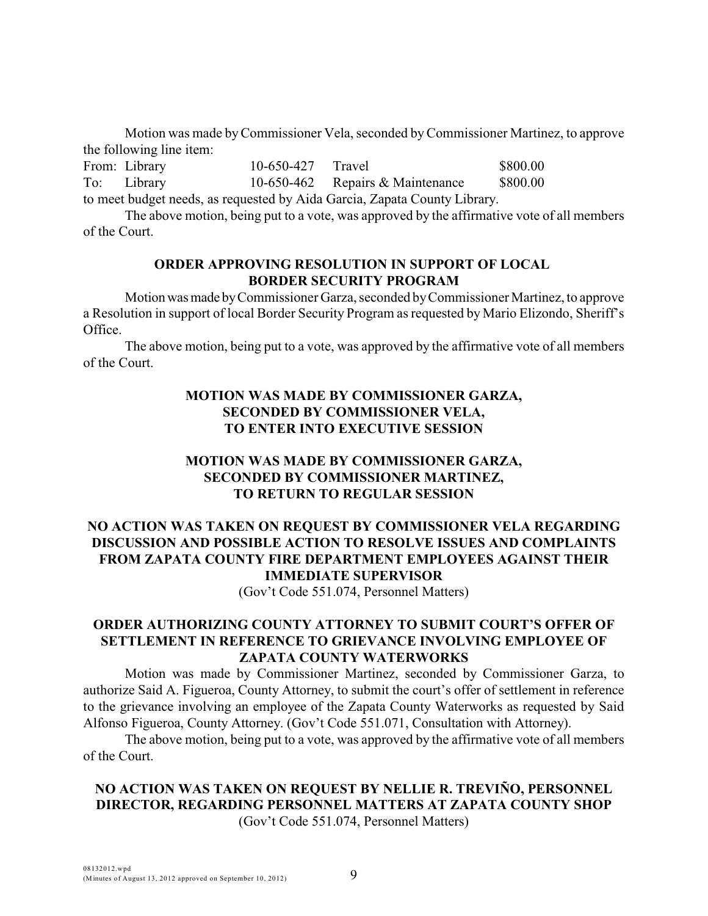Motion was made by Commissioner Vela, seconded byCommissioner Martinez, to approve the following line item:

From: Library 10-650-427 Travel \$800.00 To: Library 10-650-462 Repairs & Maintenance \$800.00 to meet budget needs, as requested by Aida Garcia, Zapata County Library.

The above motion, being put to a vote, was approved by the affirmative vote of all members

of the Court.

# **ORDER APPROVING RESOLUTION IN SUPPORT OF LOCAL BORDER SECURITY PROGRAM**

Motion was made by Commissioner Garza, seconded by Commissioner Martinez, to approve a Resolution in support of local Border Security Program as requested by Mario Elizondo, Sheriff's Office.

The above motion, being put to a vote, was approved by the affirmative vote of all members of the Court.

# **MOTION WAS MADE BY COMMISSIONER GARZA, SECONDED BY COMMISSIONER VELA, TO ENTER INTO EXECUTIVE SESSION**

# **MOTION WAS MADE BY COMMISSIONER GARZA, SECONDED BY COMMISSIONER MARTINEZ, TO RETURN TO REGULAR SESSION**

# **NO ACTION WAS TAKEN ON REQUEST BY COMMISSIONER VELA REGARDING DISCUSSION AND POSSIBLE ACTION TO RESOLVE ISSUES AND COMPLAINTS FROM ZAPATA COUNTY FIRE DEPARTMENT EMPLOYEES AGAINST THEIR IMMEDIATE SUPERVISOR**

(Gov't Code 551.074, Personnel Matters)

# **ORDER AUTHORIZING COUNTY ATTORNEY TO SUBMIT COURT'S OFFER OF SETTLEMENT IN REFERENCE TO GRIEVANCE INVOLVING EMPLOYEE OF ZAPATA COUNTY WATERWORKS**

Motion was made by Commissioner Martinez, seconded by Commissioner Garza, to authorize Said A. Figueroa, County Attorney, to submit the court's offer of settlement in reference to the grievance involving an employee of the Zapata County Waterworks as requested by Said Alfonso Figueroa, County Attorney. (Gov't Code 551.071, Consultation with Attorney).

The above motion, being put to a vote, was approved by the affirmative vote of all members of the Court.

# **NO ACTION WAS TAKEN ON REQUEST BY NELLIE R. TREVIÑO, PERSONNEL DIRECTOR, REGARDING PERSONNEL MATTERS AT ZAPATA COUNTY SHOP**

(Gov't Code 551.074, Personnel Matters)